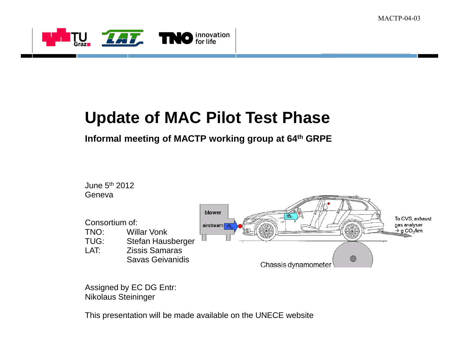

# **Update of MAC Pilot Test Phase**

#### **Informal meeting of MACTP working group at 64th GRPE**



Assigned by EC DG Entr:Nikolaus Steininger

This presentation will be made available on the UNECE website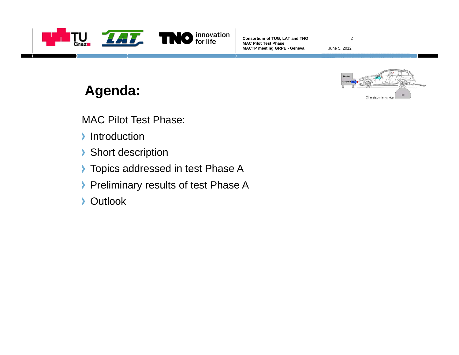

June 5, 2012

2



### **Agenda:**

MAC Pilot Test Phase:

- Introduction
- Short description
- **Topics addressed in test Phase A**
- Preliminary results of test Phase A
- **Dutlook**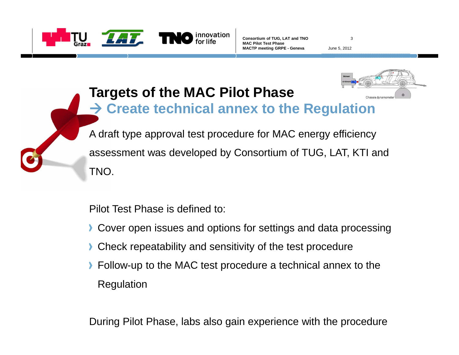

3

June 5, 2012



# **Targets of the MAC Pilot PhaseCreate technical annex to the Regulation**

A draft type approval test procedure for MAC energy efficiency assessment was developed by Consortium of TUG, LAT, KTI and TNO.

Pilot Test Phase is defined to:

- **Cover open issues and options for settings and data processing**
- **Check repeatability and sensitivity of the test procedure**
- **Follow-up to the MAC test procedure a technical annex to the** Regulation

During Pilot Phase, labs also gain experience with the procedure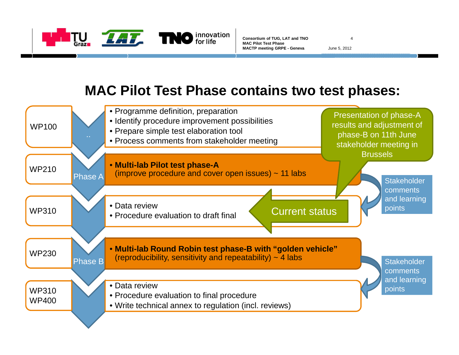

4June 5, 2012

#### **MAC Pilot Test Phase contains two test phases:**

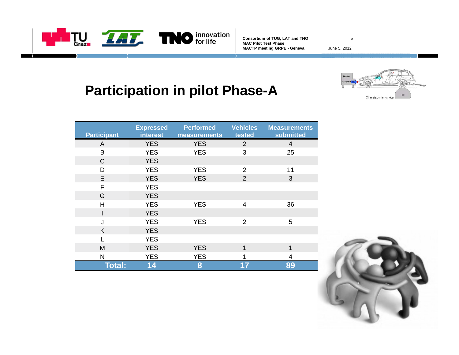

5

June 5, 2012

# **Participation in pilot Phase-A**



| <b>Participant</b> | <b>Expressed</b><br>interest | <b>Performed</b><br>measurements | <b>Vehicles</b><br>tested | <b>Measurements</b><br>submitted |
|--------------------|------------------------------|----------------------------------|---------------------------|----------------------------------|
| A                  | <b>YES</b>                   | <b>YES</b>                       | $\overline{2}$            | 4                                |
| B                  | <b>YES</b>                   | <b>YES</b>                       | 3                         | 25                               |
| $\mathsf{C}$       | <b>YES</b>                   |                                  |                           |                                  |
| D                  | <b>YES</b>                   | <b>YES</b>                       | $\overline{2}$            | 11                               |
| E                  | <b>YES</b>                   | <b>YES</b>                       | $\overline{2}$            | 3                                |
| F                  | <b>YES</b>                   |                                  |                           |                                  |
| G                  | <b>YES</b>                   |                                  |                           |                                  |
| Н                  | <b>YES</b>                   | <b>YES</b>                       | $\overline{4}$            | 36                               |
|                    | <b>YES</b>                   |                                  |                           |                                  |
| J                  | <b>YES</b>                   | <b>YES</b>                       | $\overline{2}$            | 5                                |
| K                  | <b>YES</b>                   |                                  |                           |                                  |
|                    | <b>YES</b>                   |                                  |                           |                                  |
| M                  | <b>YES</b>                   | <b>YES</b>                       | 1                         | 1                                |
| $\mathsf{N}$       | <b>YES</b>                   | <b>YES</b>                       |                           | 4                                |
| <b>Total:</b>      | 14                           | 8                                | 17                        | 89                               |

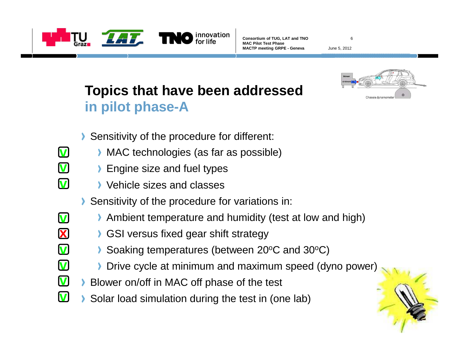

**v**

**v**

**v**

**v**

**x**

**v**

**v**

**Consortium of TUG, LAT and TNOMAC Pilot Test PhaseMACTP meeting GRPE - Geneva**

June 5, 2012

6

#### **Topics that have been addressedin pilot phase-A**



- Sensitivity of the procedure for different:
	- MAC technologies (as far as possible)
		- **Engine size and fuel types**
	- Vehicle sizes and classes
- Sensitivity of the procedure for variations in:
- Ambient temperature and humidity (test at low and high)
- **GSI versus fixed gear shift strategy**
- Soaking temperatures (between 20°C and 30°C)
- **Drive cycle at minimum and maximum speed (dyno power)**
- Blower on/off in MAC off phase of the test **v**
- Solar load simulation during the test in (one lab)**v**

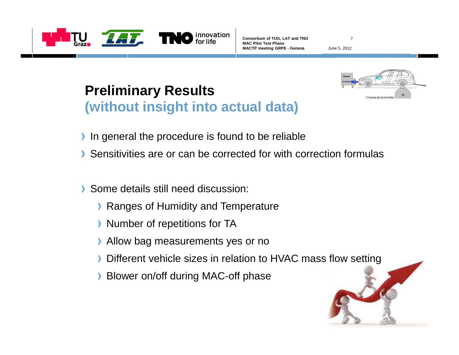

June 5, 2012

7

# **Preliminary Results(without insight into actual data)**



- In general the procedure is found to be reliable $\blacktriangleright$
- Sensitivities are or can be corrected for with correction formulas
- Some details still need discussion: $\blacktriangleright$ 
	- **Ranges of Humidity and Temperature**
	- **Number of repetitions for TA**
	- **Allow bag measurements yes or no**
	- Different vehicle sizes in relation to HVAC mass flow setting
	- **Blower on/off during MAC-off phase**

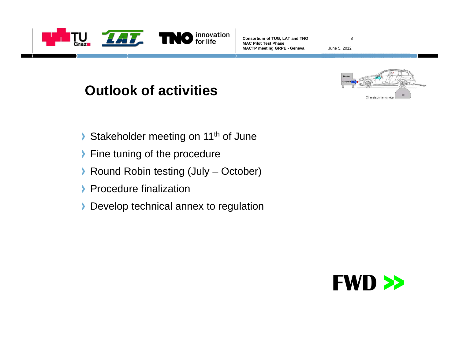

8

June 5, 2012

# **Outlook of activities**



- Stakeholder meeting on 11<sup>th</sup> of June  $\blacktriangleright$
- **Fine tuning of the procedure**
- ▶ Round Robin testing (July October)
- **Procedure finalization**
- Develop technical annex to regulation

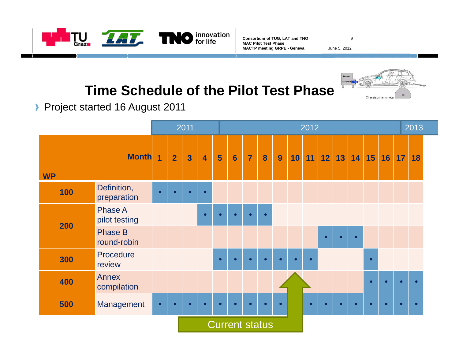

9

June 5, 2012

# **Time Schedule of the Pilot Test Phase**



Project started 16 August 2011